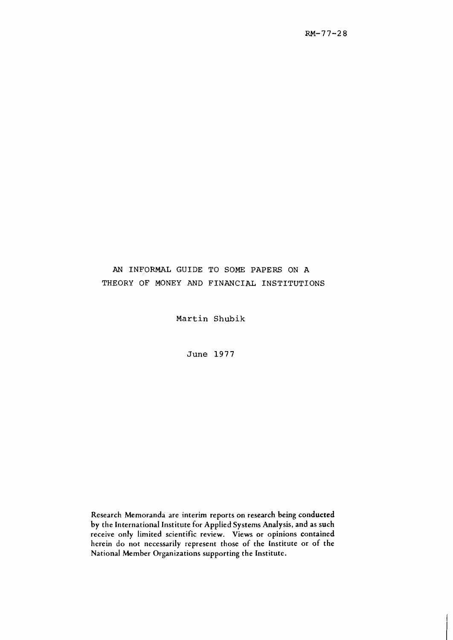# AN INFORMAL GUIDE TO SOME PAPERS ON A THEORY OF MONEY AND FINANCIAL INSTITUTIONS

Martin Shubik

June 1977

**Research Memoranda are interim reports on research being conducted by the International Institute for Applied Systems Analysis, and as such receive only limited scientific review. Views or opinions contained herein do not necessarily represent those of the Institute or of the National Member Organizations supporting the Institute.**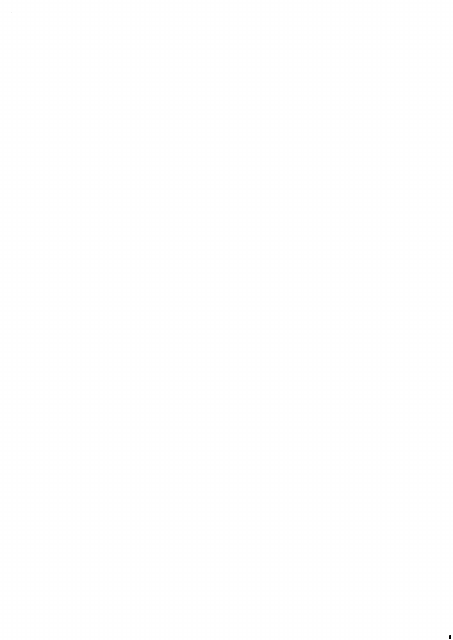$\sim 10^{-10}$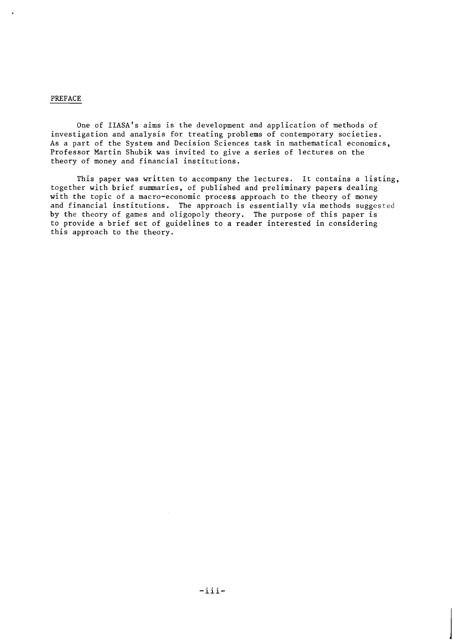### PREFACE

One of IIASA's aims is the development and application of methods of investigation and analysis for treating problems of contemporary societies. As a part of the System and Decision Sciences task in mathematical economics, Professor Martin Shubik was invited to give a series of lectures on the theory of money and financial institutions.

This paper was written to accompany the lectures. It contains a listing, together with brief summaries, of published and preliminary papers dealing with the topic of a macro-economic process approach to the theory of money and financial institutions. The approach is essentially via methods suggested by the theory of games and oligopoly theory. The purpose of this paper is to provide a brief set of guidelines to a reader interested in considering this approach to the theory.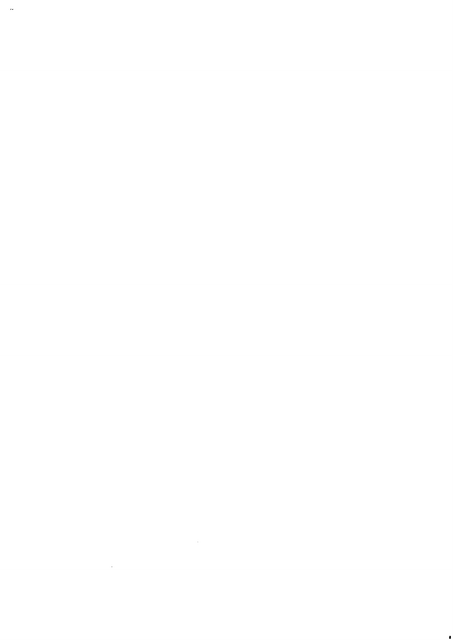$\ddot{\cdot}$ 

 $\label{eq:2.1} \frac{1}{\sqrt{2}}\left(\frac{1}{\sqrt{2}}\right)^2\left(\frac{1}{\sqrt{2}}\right)^2\left(\frac{1}{\sqrt{2}}\right)^2\left(\frac{1}{\sqrt{2}}\right)^2\left(\frac{1}{\sqrt{2}}\right)^2\left(\frac{1}{\sqrt{2}}\right)^2.$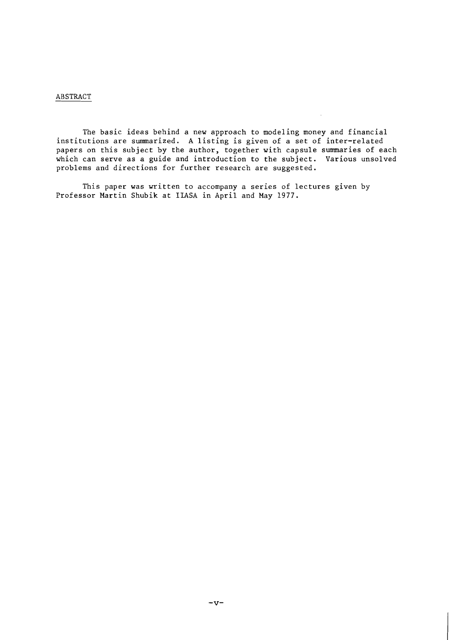# ABSTRACT

The basic ideas behind a new approach to modeling money and financial institutions are summarized. **A** listing is given of a set of inter-related papers on this subject by the author, together with capsule summaries of each which can serve as a guide and introduction to the subject. Various unsolved problems and directions for further research are suggested.

This paper was written to accompany a series of lectures given by Professor Martin Shubik at ILASA in April and May 1977.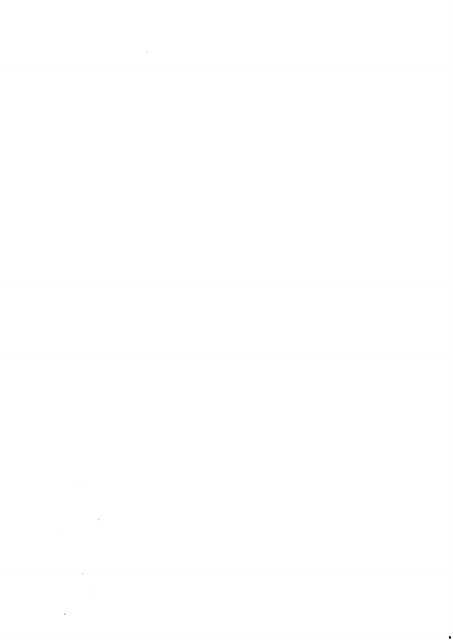$\label{eq:2.1} \mathcal{L}(\mathcal{L}^{\text{max}}_{\text{max}}(\mathcal{L}^{\text{max}}_{\text{max}}(\mathcal{L}^{\text{max}}_{\text{max}}(\mathcal{L}^{\text{max}}_{\text{max}})))$ 

 $\label{eq:2.1} \frac{1}{\sqrt{2\pi}}\int_{\mathbb{R}^3}\frac{1}{\sqrt{2\pi}}\left(\frac{1}{\sqrt{2\pi}}\right)^2\frac{1}{\sqrt{2\pi}}\frac{1}{\sqrt{2\pi}}\frac{1}{\sqrt{2\pi}}\frac{1}{\sqrt{2\pi}}\frac{1}{\sqrt{2\pi}}\frac{1}{\sqrt{2\pi}}\frac{1}{\sqrt{2\pi}}\frac{1}{\sqrt{2\pi}}\frac{1}{\sqrt{2\pi}}\frac{1}{\sqrt{2\pi}}\frac{1}{\sqrt{2\pi}}\frac{1}{\sqrt{2\pi}}\frac{1}{\sqrt{2\pi}}\frac$ 

 $\label{eq:2.1} \frac{1}{\sqrt{2}}\int_{\mathbb{R}^3}\frac{1}{\sqrt{2}}\left(\frac{1}{\sqrt{2}}\right)^2\frac{1}{\sqrt{2}}\left(\frac{1}{\sqrt{2}}\right)^2\frac{1}{\sqrt{2}}\left(\frac{1}{\sqrt{2}}\right)^2.$  $\label{eq:2.1} \frac{1}{\sqrt{2}}\int_{0}^{\infty}\frac{1}{\sqrt{2\pi}}\left(\frac{1}{\sqrt{2\pi}}\right)^{2}d\mu\left(\frac{1}{\sqrt{2\pi}}\right) \frac{d\mu}{\sqrt{2\pi}}\,.$ 

 $\label{eq:2} \mathcal{L} = \frac{1}{2} \sum_{i=1}^n \frac{1}{2} \sum_{j=1}^n \frac{1}{2} \sum_{j=1}^n \frac{1}{2} \sum_{j=1}^n \frac{1}{2} \sum_{j=1}^n \frac{1}{2} \sum_{j=1}^n \frac{1}{2} \sum_{j=1}^n \frac{1}{2} \sum_{j=1}^n \frac{1}{2} \sum_{j=1}^n \frac{1}{2} \sum_{j=1}^n \frac{1}{2} \sum_{j=1}^n \frac{1}{2} \sum_{j=1}^n \frac{1}{2} \sum_{j=1}$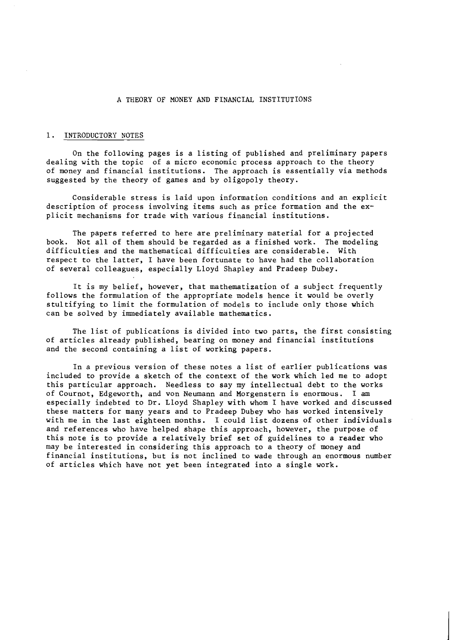# **A** THEORY OF MONEY AND FINANCIAL INSTITUTIONS

#### 1. INTXODUCTORY NOTES

On the following pages is a listing of published and preliminary papers dealing with the topic of a micro economic process approach to the theory of money and financial institutions. The approach is essentially via methods suggested by the theory of games and by oligopoly theory.

Considerable stress is laid upon information conditions and an explicit description of process involving items such as price formation and the explicit mechanisms for trade with various financial institutions.

book. Not all of them should be regarded as a finished work. The modeling book. We all of them should be regarded as a finished work. The model The papers referred to here are preliminary material for a projected respect to the latter, I have been fortunate to have had the collaboration of several colleagues, especially Lloyd Shapley and Pradeep Dubey.

It is my belief, however, that mathematization of a subject frequently follows the formulation of the appropriate models hence it would be overly stultifying to limit the formulation of models to include only those which can be solved by immediately available mathematics.

The list of publications is divided into two parts, the first consisting of articles already published, bearing on money and financial institutions and the second containing a list of working papers.

In a previous version of these notes a list of earlier publications was included to provide a sketch of the context of the work which led me to adopt this particular approach. Needless to say my intellectual debt to the works of Cournot, Edgeworth, and von Neumann and Morgenstern is enormous. I am especially indebted to Dr. Lloyd Shapley with whom I have worked and discussed these matters for many years and to Pradeep Dubey who has worked intensively with me in the last eighteen months. I could list dozens of other individuals and references who have helped shape this approach, however, the purpose of this note is to provide a relatively brief set of guidelines to a reader who may be interested in considering this approach to a theory of money and financial institutions, but is not inclined to wade through an enormous number of articles which have not yet been integrated into a single work.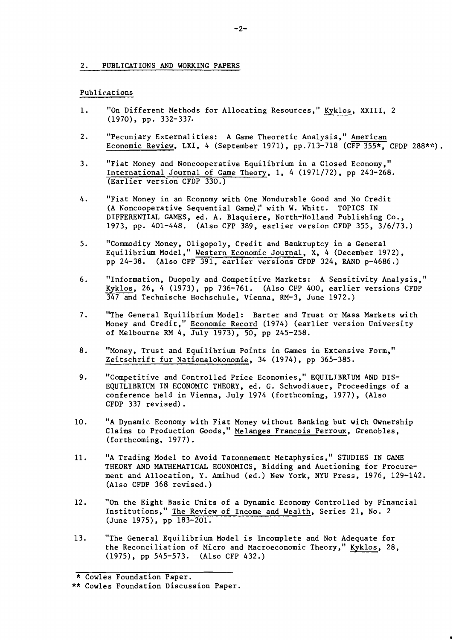# 2. PUBLICATIONS AND WORKING PAPERS

# Publications

- 1. "On Different Methods for Allocating Resources," Kyklos, XXIII, 2 (1970), pp. 332-337.
- 2. "Pecuniary Externalities: A Game Theoretic Analysis," American Economic Review, LXI, 4 (September 1971), pp.713-718 (CFP 355\*, CFDP 288\*\*).
- 3. "Fiat Money and Noncooperative Equilibrium in a Closed Economy," International Journal of Game Theory, 1, 4 (1971/72), pp 243-268. (Earlier version CFDP 330. )
- 4. "Fiat Money in an Economy with One Nondurable Good and No Credit (A Noncooperative Sequential Game)," with W. Whitt. TOPICS IN DIFFERENTIAL GAMES, ed. A. Blaquiere, North-Holland Publishing Co., 1973, pp. 401-448. (Also CFP 389, earlier version CFDP 355, 3/6/73.)
- 5. "Commodity Money, Oligopoly, Credit and Bankruptcy in a General Equilibrium Model," Western Economic Journal, X, 4 (December 1972), pp 24-38. (Also CFP 391, earlier versions CFDP 324, RAND p-4686.)
- 6. 11 Information, Duopoly and Competitive Markets: A Sensitivity Analysis," Kyklos, 26, 4 (1973), pp 736-761. (Also CFP 400, earlier versions CFDP 347 and Technische Hochschule, Vienna, RM-3, June 1972.)
- 7. "The General Equilibrium Model: Barter and Trust or Mass Markets with Money and credit," Economic Record (1974) (earlier version University of Melbourne **RM** 4, July 1973), 50, pp 245-258.
- 8. "Money, Trust and Equilibrium Points in Games in Extensive Form," Zeitschrift fur Nationalokonomie, 34 (1974), pp 365-385.
- 9. "Competitive and Controlled Price Economies," EQUILIBRIUM AND DIS-EQUILIBRIUM IN ECONOMIC THEORY, ed. G. Schwodiauer, Proceedings of a conference held in Vienna, July 1974 (forthcoming, 1977), (Also CFDP 337 revised).
- 10. "A Dynamic Economy with Fiat Money without Banking but with Ownership Claims to Production Goods," Melanges Francois Perroux, Grenobles, (forthcoming, 1977) .
- 11. "A Trading Model to Avoid Tatonnement Metaphysics," STUDIES IN GAME THEORY AND MATHEMATICAL ECONOMICS, Bidding and Auctioning for Procurement and Allocation, Y. Amihud (ed.) New York, NYU Press, 1976, 129-142. (Also CFDP 368 revised.)
- 12. "On the Eight Basic Units of a Dynamic Economy Controlled by Financial Institutions," The Review of Income and Wealth, Series 21, No. 2 (June 1975), pp 183-201.
- 13. "The General Equilibrium Model is Incomplete and Not Adequate for the Reconciliation of Micro and Macroeconomic Theory," Kyklos, 28, (1975), pp 545-573. (Also CFP 432.)

<sup>\*</sup> Cowles Foundation Paper. \*\* Cowles Foundation Discussion Paper.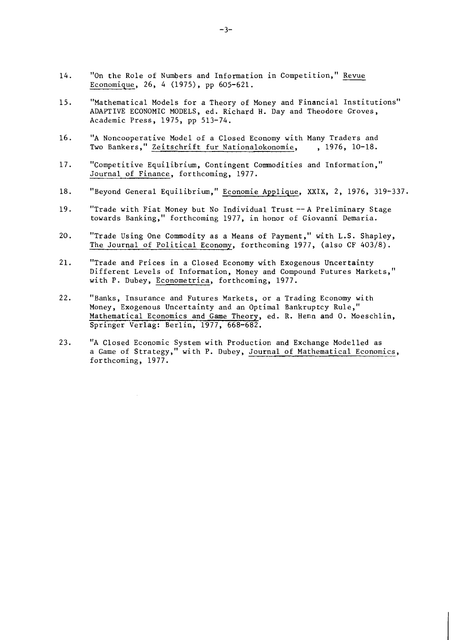- "On the Role of Numbers and Information in competition," Revue  $14.$ Economique, 26, 4 (1975), pp 605-621.
- $15.$ "Mathematical Models for a Theory of Money and Financial Institutions" ADAPTIVE ECONOMIC MODELS, ed. Richard H. Day and Theodore Groves, Academic Press, 1975, pp 513-74.
- $16.$ "A Noncooperative Model of a Closed Economy with Many Traders and<br>Two Bankers." Zeitschrift fur Nationalokonomie. . 1976. 10-18. Two Bankers," Zeitschrift fur Nationalokonomie,
- "Competitive Equilibrium, Contingent Commodities and Information," 17. Journal of Finance, forthcoming, 1977.
- $18.$ "Beyond General Equilibrium," Economie Applique, XXIX, 2, 1976, 319-337.
- 19. "Trade with Fiat Money but No Individual Trust--A Preliminary Stage towards Banking," forthcoming 1977, in honor of Giovanni Demaria.
- "Trade Using One Commodity as a Means of Payment," with L.S. Shapley,  $20.$ The Journal of Political Economy, forthcoming 1977, (also CF 403/8).
- "Trade and Prices in a Closed Economy with Exogenous Uncertainty  $21.$ Different Levels of Information, Money and Compound Futures Markets," with P. Dubey, Econometrica, forthcoming, 1977.
- $22.$ "Banks, Insurance and Futures Markets, or a Trading Economy with Money, Exogenous Uncertainty and an Optimal Bankruptcy Rule," Mathematical Economics and Game Theory, ed. R. Henn and 0. Moeschlin, Springer Verlag: Berlin, 1977, 668-682.
- "A Closed Economic System with Production and Exchange Modelled as  $23.$ a Game of Strategy," with P. Dubey, Journal of Mathematical Economics, forthcoming, 1977.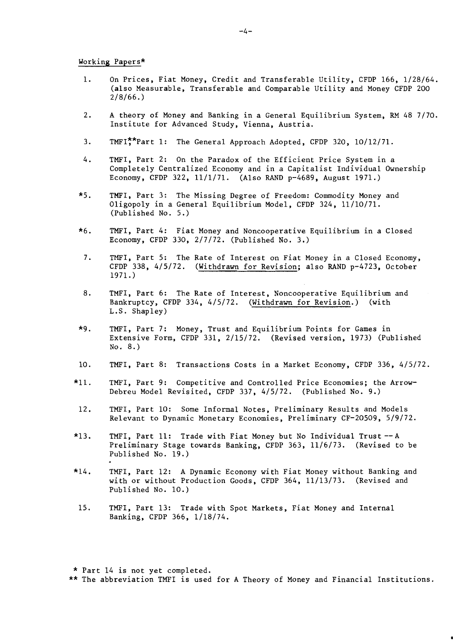#### Working Papers\*

- 1. On Prices, Fiat Money, Credit and Transferable Utility, CFDP 166, 1/28/64. (also Measurable, Transferable and Comparable Utility and Money CFDP 200 2/8/66.)
- 2. A theory of Money and Banking in a General Equilibrium System, **RM** 48 7/70. Institute for Advanced Study, Vienna, Austria.
- 3. TMFI<sup>\*\*</sup>Part 1: The General Approach Adopted, CFDP 320,  $10/12/71$ .
- 4. TMFI, Part 2: On the Paradox of the Efficient Price System in a Completely Centralized Economy and in a Capitalist Individual Ownership Economy, CFDP 322, 11/1/71. (Also RAND p-4689, August 1971.)
- \*5. TMFI, Part 3: The Missing Degree of Freedom: Commodity Money and Oligopoly in a General Equilibrium Model, CFDP 324, 11/10/71. (Published No. 5.)
- \*6. TMFI, Part 4: Fiat Money and Noncooperative Equilibrium in a Closed Economy, CFDP 330, 2/7/72. (Published No. 3.)
- 7. TMFI, Part 5: The Rate of Interest on Fiat Money in a Closed Economy, CFDP 338, 4/5/72. (Withdrawn for Revision; also RAND p-4723, October 1971.)
- 8. TMFI, Part 6: The Rate of Interest, Noncooperative Equilibrium and Bankruptcy, CFDP 334, 4/5/72. (Withdrawn for Revision.) (with L.S. Shapley)
- \*9. TMFI, Part 7: Money, Trust and Equilibrium Points for Games in Extensive Form, CFDP 331, 2/15/72. (Revised version, 1973) (Published No. 8.)
- 10. TMFI, Part 8: Transactions Costs in a Market Economy, CFDP 336, 4/5/72.
- \*11. TMFI, Part 9: Competitive and Controlled Price Economies; the Arrow-Debreu Model Revisited, CFDP 337, 4/5/72. (Published No. 9.)
- 12. TMFI, Part 10: Some Informal Notes, Preliminary Results and Models Relevant to Dynamic Monetary Economies, Preliminary CF-20509, 5/9/72.
- \*13. TMFI, Part 11: Trade with Fiat Money but No Individual Trust --A Preliminary Stage towards Banking, CFDP 363, 11/6/73. (Revised to be Published No. 19.)
- \*14. TMFI, Part 12: A Dynamic Economy with Fiat Money without Banking and with or without Production Goods, CFDP 364, 11/13/73. (Revised and Published No. 10.)
- 15. TMFI, Part 13: Trade with Spot Markets, Fiat Money and Internal Banking, CFDP 366, 1/18/74.

<sup>\*</sup> Part 14 is not yet completed.<br>\*\* The abbreviation TMFI is used for A Theory of Money and Financial Institutions.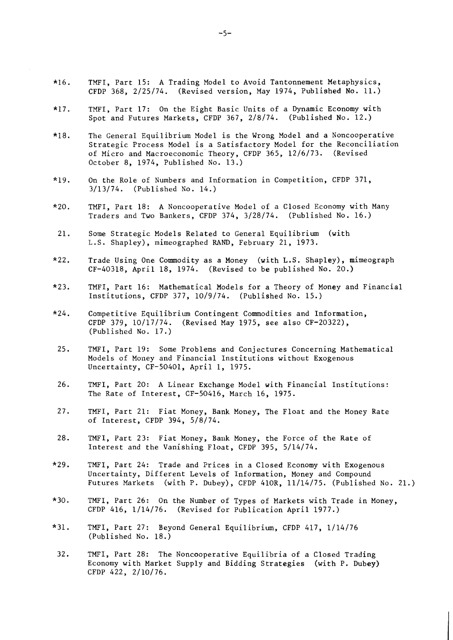- $*16.$ TMFI, Part 15: A Trading Model to Avoid Tantonnement Metaphysics, CFDP 368, 2/25/74. (Revised version, May 1974, Published No. 11.)
- $*17.$ TMFI, Part 17: On the Eight Basic Units of a Dynamic Economy with Spot and Futures Markets, CFDP 367, 2/8/74. (Published No. 12.)
- $*18.$ The General Equilibrium Model is the Wrong Model and a Noncooperative Strategic Process Model is a Satisfactory Model for the Reconciliation of Micro and Macroeconomic Theory, CFDP 365, 12/6/73. (Revised October 8, 1974, Published No. 13.)
- $*19.$ On the Role of Numbers and Information in Competition, CFDP 371, 3/13/74. (Published No. 14.)
- $*20.$ TMFI, Part 18: A Noncooperative Model of a Closed Economy with Many Traders and Two Bankers, CFDP 374, 3/28/74. (Published No. 16.)
- $21.$ Some Strategic Models Related to General Equilibrium (with L.S. Shapley), mimeographed RAND, February 21, 1973.
- $*22.$ Trade Using One Commodity as a Money (with L.S. Shapley), mimeograph CF-40318, April 18, 1974. (Revised to be published No. 20.)
- $*23.$ TMFI, Part 16: Mathematical Models for a Theory of Money and Financial Institutions, CFDP 377, 10/9/74. (Published No. 15.)
- $*24.$ Competitive Equilibrium Contingent Commodities and Information, CFDP 379, 10/17/74. (Revised May 1975, see also CF-20322), (Published No. 17.)
- $25.$ TMFI, Part 19: Some Problems and Conjectures Concerning Mathematical Models of Money and Financial Institutions without Exogenous Uncertainty, CF-50401, April 1, 1975.
- 26. TMFI, Part 20: A Linear Exchange Model with Financial Institutions: The Rate of Interest, CF-50416, March 16, 1975.
- 27. TMFI, Part 21: Fiat Money, Bank Money, The Float and the Money Rate of Interest, CFDP 394, 5/8/74.
- TMFI, Part 23: Fiat Money, Bank Money, the Force of the Rate of 28. Interest and the Vanishing Float, CFDP 395, 5/14/74.
- $*29.$ TMFI, Part 24: Trade and Prices in a Closed Economy with Exogenous Uncertainty, Different Levels of Information, Money and Compound Futures Markets (with P. Dubey), CFDP 410R, 11/14/75. (Published No. 21.)
- $*30.$ TMFI, Part 26: On the Number of Types of Markets with Trade in Money, CFDP 416, 1/14/76. (Revised for Publication April 1977.)
- $*31.$ TMFI, Part 27: Beyond General Equilibrium, CFDP 417, 1/14/76 (Published No. 18.)
- $32.$ TMFI, Part 28: The Noncooperative Equilibria of a Closed Trading Economy with Market Supply and Bidding Strategies (with P. Dubey) CFDP 422, 2/10/76.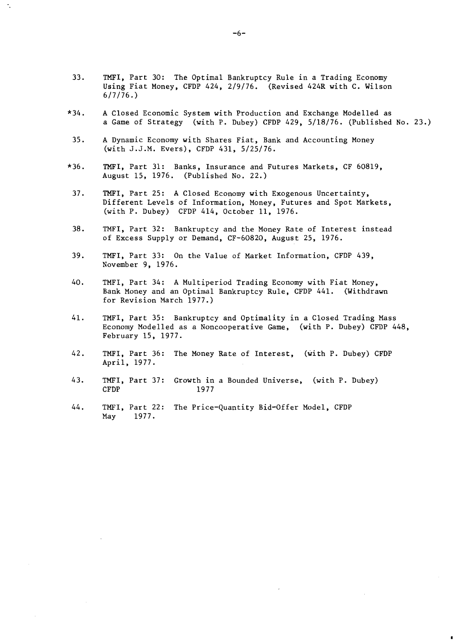- $33.$ TMFI, Part 30: The Optimal Bankruptcy Rule in a Trading Economy Using Fiat Money, CFDP 424, 2/9/76. (Revised 424R with C. Wilson  $6/7/76.$
- $*34.$ A Closed Economic System with Production and Exchange Modelled as a Game of Strategy (with P. Dubey) CFDP 429, 5/18/76. (Published No. 23.)
- $35.$ A Dynamic Economy with Shares Fiat, Bank and Accounting Money (with J.J.M. Evers), CFDP 431, 5/25/76.
- $*36.$ TMFI, Part 31: Banks, Insurance and Futures Markets, CF 60819, August 15, 1976. (Published No. 22.)
- $37.$ TMFI, Part 25: A Closed Economy with Exogenous Uncertainty, Different Levels of Information, Money, Futures and Spot Markets, (with P. Dubey) CFDP 414, October 11, 1976.
- 38. TMFI, Part 32: Bankruptcy and the Money Rate of Interest instead of Excess Supply or Demand, CF-60820, August 25, 1976.
- 39. TMFI, Part 33: On the Value of Market Information, CFDP 439, November 9, 1976.
- TMFI, Part 34: A Multiperiod Trading Economy with Fiat Money, 40. Bank Money and an Optimal Bankruptcy Rule, CFDP 441. (Withdrawn for Revision March 1977.)
- 41. TMFI, Part 35: Bankruptcy and Optimality in a Closed Trading Mass Economy Modelled as a Noncooperative Game, (with P. Dubey) CFDP 448, February 15, 1977.
- 42. TMFI, Part 36: The Money Rate of Interest, (with P. Dubey) CFDP April, 1977.
- 43. TMFI, Part 37: Growth in a Bounded Universe, (with P. Dubey)<br>CFDP 1977 1977
- 44. TMFI, Part 22: The Price-Quantity Bid-Offer Model, CFDP May 1977.

 $\tilde{\gamma}$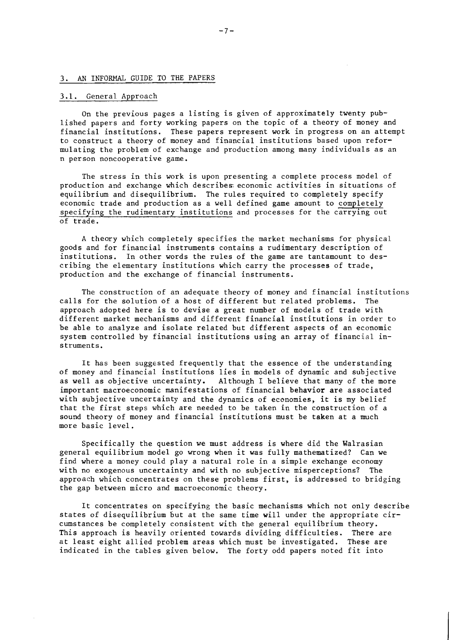#### 3. AN INFORMAL GUIDE TO THE PAPERS

### 3.1. General Approach

On the previous pages a listing is given of approximately twenty published papers and forty working papers on the topic of a theory of money and financial institutions. These papers represent work in progress on an attempt to construct a theory of money and financial institutions based upon reformulating the problem of exchange and production among many individuals as an n person noncooperative game.

The stress in this work is upon presenting a complete process model of production and exchange which describes economic activities in situations of equilibrium and disequilibrium. The rules required to completely specify economic trade and production as a well defined game amount to completely specifying the rudimentary institutions and processes for the carrying out of trade.

A theory which completely specifies the market mechanisms for physical goods and for financial instruments contains a rudimentary description of institutions. In other words the rules of the game are tantamount to describing the elementary institutions which carry the processes of trade, production and the exchange of financial instruments.

The construction of an adequate theory of money and financial institutions calls for the solution of a host of different but related problems. The approach adopted here is to devise a great number of models of trade with different market mechanisms and different financial institutions in order to be able to analyze and isolate related but different aspects of an economic system controlled by financial institutions using an array of financial instruments.

It has been suggested frequently that the essence of the understanding of money and financial institutions lies in models of dynamic and subjective Although I believe that many of the more important macroeconomic manifestations of financial behavior are associated with subjective uncertainty and the dynamics of economies, it is my belief that the first steps which are needed to be taken in the construction of a sound theory of money and financial institutions must be taken at a much more basic level.

Specifically the question we must address is where did the Walrasian general equilibrium model go wrong when it was fully mathematized? Can we find where a money could play a natural role in a simple exchange economy with no exogenous uncertainty and with no subjective misperceptions? The approach which concentrates on these problems first, is addressed to bridging the gap between micro and macroeconomic theory.

It concentrates on specifying the basic mechanisms which not only describe states of disequilibrium but at the same time will under the appropriate circumstances be completely consistent with the general equilibrium theory. This approach is heavily oriented towards dividing difficulties. There are at least eight allied problem areas which must be investigated. These are indicated in the tables given below. The forty odd papers noted fit into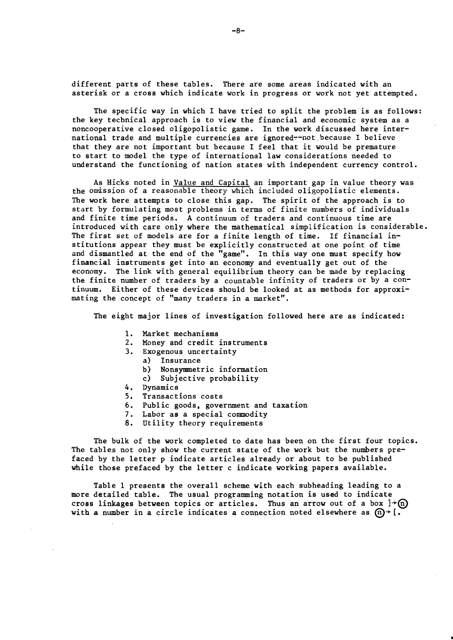different parts of these tables. There are some areas indicated with an asterisk or a cross which indicate work in progress or work not yet attempted.

The specific way in which I have tried to split the problem is as follows: the key technical approach is to view the financial and economic system as a noncooperative closed oligopolistic game. In the work discussed here international trade and multiple currencies are ignored--not because I believe that they are not important but because I feel that it would be premature to start to model the type of international law considerations needed to understand the functioning of nation states with independent currency control.

As Hicks noted in Value and Capital an important gap in value theory was the omission of a reasonable theory which included oligopolistic elements. The work here attempts to close this gap. The spirit of the approach is to start by formulating most problems in terms of finite numbers of individuals and finite time periods. A continuum of traders and continuous time are introduced with care only where the mathematical simplification is considerable. The first set of models are for a finite length of time. If financial institutions appear they must be explicitly constructed at one point of time and dismantled at the end of the "game". In this way one must specify how financial instruments get into an economy and eventually get out of the economy. The link with general equilibrium theory can be made by replacing the finite number of traders by a countable infinity of traders or by a continuum. Either of these devices should be looked at as methods for approximating the concept of "many traders in a market".

The eight major lines of investigation followed here are as indicated:

- 1. Market mechanisms
- 2. Money and credit instruments
- 3. Exogenous uncertainty
	- a) Insurance
	- b) Nonsymmetric information
	- c) Subjective probability
- 4. Dynamics
- 5. Transactions costs
- 6. Public goods, government and taxation
- 7. Labor as a special commodity
- 8. Utility theory requirements

The bulk of the work completed to date has been on the first four topics. The tables not only show the current state of the work but the numbers prefaced by the letter p indicate articles already or about to be published while those prefaced by the letter c indicate working papers available.

Table 1 presents the overall scheme with each subheading leading to a more detailed table. The usual programming notation is used to indicate<br>cross linkages between topics or articles. Thus an arrow out of a box  $]\rightarrow\textcircled{1}$ cross linkages between topics or articles. Thus an arrow out of a box  $]\rightarrow$  (n) with a number in a circle indicates a connection noted elsewhere as  $(n)$  + [.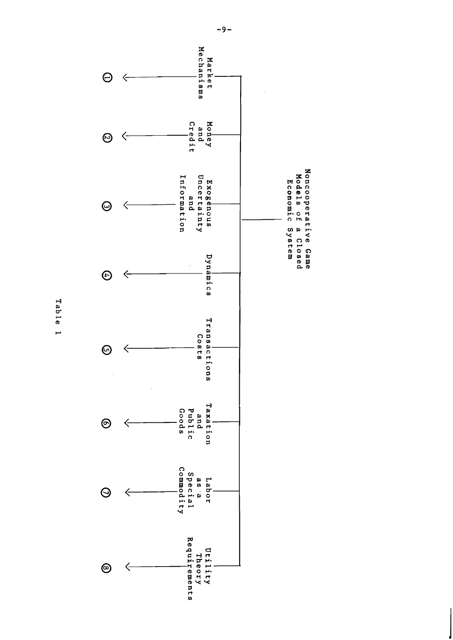

Table 1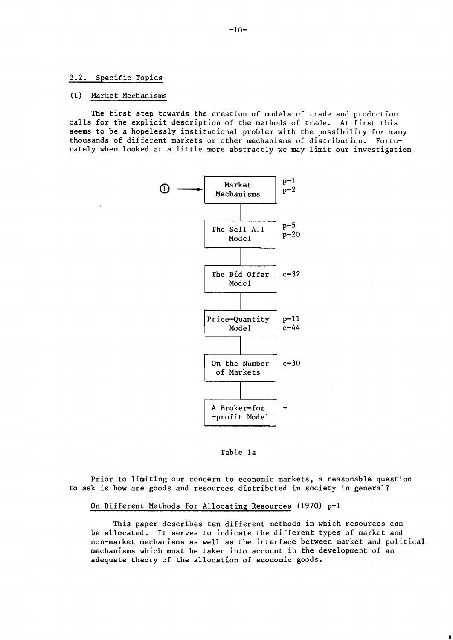**3.2.** Specific Topics

# (1) Market Mechanisms

The first step towards the creation of models of trade and production calls for the explicit description of the methods of trade. At first this seems to be a hopelessly institutional problem with the possibility for many thousands of different markets or other mechanisms of distribution. Fortunately when looked at a little more abstractly we may limit our investigation,



Table la

Prior to limiting our concern to economic markets, a reasonable question to ask is how are goods and resources distributed in society in general?

# On Different Methods for Allocating Resources (1970) p-1

This paper describes ten different methods in which resources can be allocated. It serves to indicate the different types of market and non-market mechanisms as well as the interface between market and political mechanisms which must be taken into account in the development of an adequate theory of the allocation of economic goods.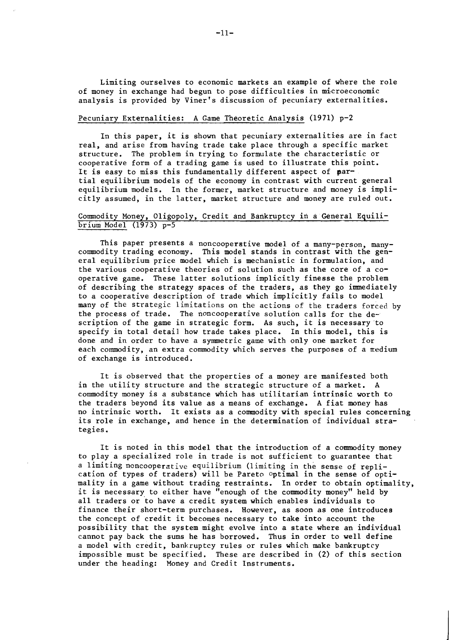Limiting ourselves to economic markets an example of where the role of money in exchange had begun to pose difficulties in microeconomic analysis is provided by Viner's discussion of pecuniary externalities.

### Pecuniary Externalities: A Game Theoretic Analysis (1971) p-2

In this paper, it is shown that pecuniary externalities are in fact real, and arise from having trade take place through a specific market structure. The problem in trying to formulate the characteristic or cooperative form of a trading game is used to illustrate this point. It is easy to miss this fundamentally different aspect of partial equilibrium models of the economy in contrast with current general equilibrium models. In the former, market structure and money is implicitly assumed, in the latter, market structure and money are ruled out.

# Comodity Money, Oligopoly, Credit and Bankruptcy in a General Equilibrium Model (1973) p-5

 his paper presents a noncooperative model of a many-person, manycommodity trading economy. This model stands in contrast with the general equilibrium price model which is mechanistic in formulation, and the various cooperative theories of solution such as the core of a cooperative game. These latter solutions implicitly finesse the problem of describing the strategy spaces of the traders, as they go immediately to a cooperative description of trade which implicitly fails to model many of the strategic limitations on the actions of the traders forced by the process of trade. The noncooperative solution calls for the description of the game in strategic form. As such, it is necessary 'to specify in total detail how trade takes place. In this model, this is done and in order to have a symmetric game with only one market for each commodity, an extra commodity which serves the purposes of a medium of exchange is introduced.

It is observed that the properties of a money are manifested both in the utility structure and the strategic structure of a market. A commodity money is a substance which has utilitarian intrinsic worth to the traders beyond its value as a means of exchange. A fiat money has no intrinsic worth. It exists as a commodity with special rules concerning its role in exchange, and hence in the determination of individual strategies.

It is noted in this model that the introduction of a commodity money to play a specialized role in trade is not sufficient to guarantee that a limiting noncooperative equilibrium (limiting in the sease of replication of types of traders) will be Pareto optimal in the sense of optimality in a game without trading restraints. In order to obtain optimality, it is necessary to either have "enough of the commodity money" held by all traders or to have a credit system which enables individuals to finance their short-term purchases. However, as soon as one introduces the concept of credit it becomes necessary to take into account the possibility that the system might evolve into a state where an individual cannot pay back the sums he has borrowed. Thus in order to well define a model with credit, bankruptcy rules or rules which make bankruptcy impossible must be specified. These are described in (2) of this section under the heading: Money and Credit Instruments.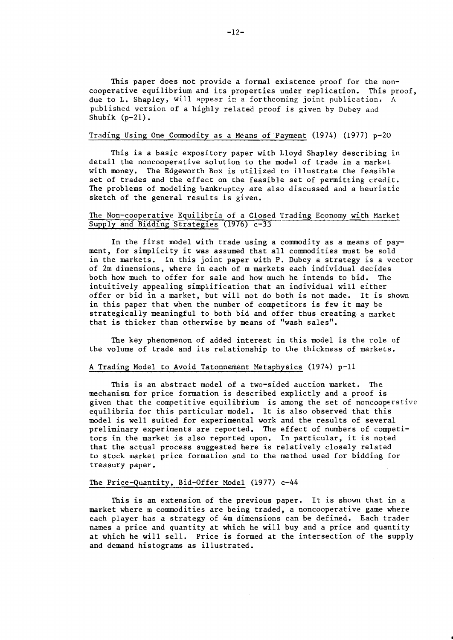This paper does not provide a formal existence proof for the noncooperative equilibrium and its properties under replication. This proof, due to **L.** Shapley, will appear in a forthcoming joint publication. **A**  published version of a highly related proof is given by Dubey and Shubik  $(p-21)$ .

# Trading Using One Commodity as a Means of Payment (1974) (1977) p-20

This is a basic expository paper with Lloyd Shapley describing in detail the noncooperative solution to the model of trade in a market with money. The Edgeworth Box is utilized to illustrate the feasible set of trades and the effect on the feasible set of permitting credit. The problems of modeling bankruptcy are also discussed and a heuristic sketch of the general results is given.

# The Non-cooperative Equilibria of a Closed Trading Economy with Market Supply and Bidding Strategies (1976) c-33

In the first model with trade using a commodity as a means of payment, for simplicity it was assumed that all commodities must be sold in the markets. In this joint paper with P. Dubey a strategy is a vector of 2m dimensions, where in each of m markets each individual decides both how much to offer for sale and how much he intends to bid. The intuitively appealing simplification that an individual will either offer or bid in a market, but will not do both is not made. It is shown in this paper that when the number of competitors is few it may be strategically meaningful to both bid and offer thus creating a market that is thicker than otherwise by means of "wash sales".

The key phenomenon of added interest in this model is the role of the volume of trade and its relationship to the thickness of markets.

#### A Trading Model to Avoid Tatonnement Metaphysics (1974) p-11

This is an abstract model of a two-sided auction market. The mechanism for price formation is described explictly and a proof is given that the competitive equilibrium is among the set of noncooperative equilibria for this particular model. It is also observed that this model is well suited for experimental work and the results of several preliminary experiments are reported. The effect of numbers of competitors in the market is also reported upon. In particular, it is noted that the actual process suggested here is relatively closely related to stock market price formation and to the method used for bidding for treasury paper.

#### The Price-Quantity, Bid-Offer Model (1977) c-44

This is an extension of the previous paper. It is shown that in a market where m commodities are being traded, a noncooperative game where each player has a strategy of 4m dimensions can be defined. Each trader names a price and quantity at which he will buy and a price and quantity at which he will sell. Price is formed at the intersection of the supply and demand histograms as illustrated.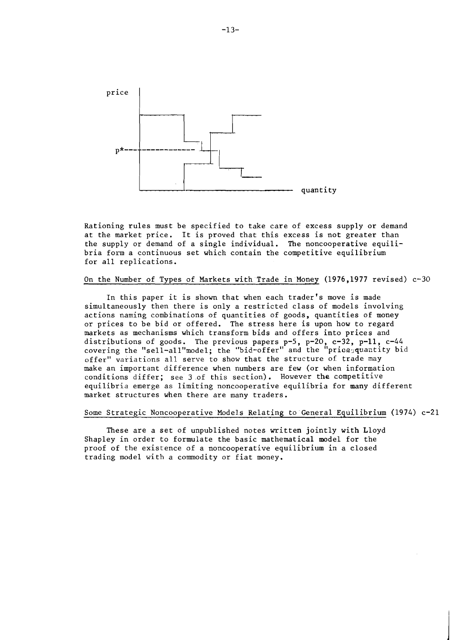

Rationing rules must be specified to take care of excess supply or demand at the market price. It is proved that this excess is not greater than the supply or demand of a single individual. The noncooperative equilibria form a continuous set which contain the competitive equilibrium for all replications.

# On the Number of Types of Markets with Trade in Money (1976,1977 revised) c-30

In this paper it is shown that when each trader's move is made simultaneously then there is only a restricted class of models involving actions naming combinations of quantities of goods, quantities of money or prices to be bid or offered. The stress here is upon how to regard markets as mechanisms which transform bids and offers into prices and distributions of goods. The previous papers p-5, p-20, c-32, p-11, c-44 covering the "sell-all"model; the "bid-offer" and the "prioesquantity bid offer" variations all serve to show that the structure of trade may make an important difference when numbers are few (or when information conditions differ; see **3** .of this section). However the competitive equilibria emerge as limiting noncooperative equilibria for many different market structures when there are many traders.

# Some Strategic Noncooperative Models Relating to General Equilibrium (1974) c-21

These are a set of unpublished notes written jointly with Lloyd Shapley in order to formulate the basic mathematical model for the proof of the existence of a noncooperative equilibrium in a closed trading model with a commodity or fiat money.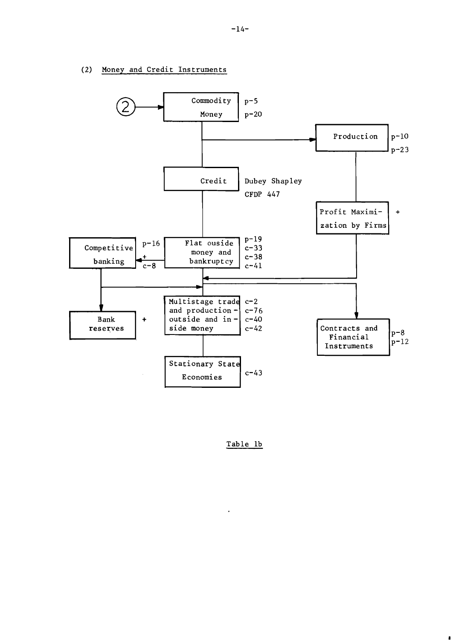(2) Money and Credit Instruments



Table lb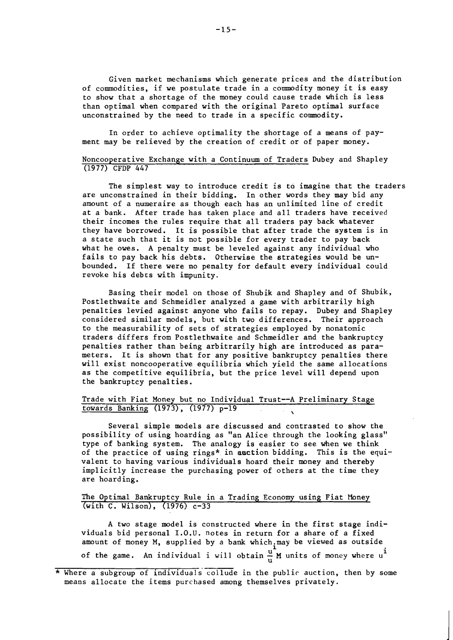Given market mechanisms which generate prices and the distribution of commodities, if we postulate trade in a commodity money it is easy to show that a shortage of the money could cause trade which is less than optimal when compared with the original Pareto optimal surface unconstrained by the need to trade in a specific commodity.

In order to achieve optimality the shortage of a means of payment may be relieved by the creation of credit or of paper money.

## Noncooperative Exchange with a Continuum of Traders Dubey and Shapley (1977) CFDP 447

The simplest way to introduce credit is to imagine that the traders are unconstrained in their bidding. In other words they may bid any amount of a numeraire as though each has an unlimited line of credit at a bank. After trade has taken place and all traders have received their incomes the rules require that all traders pay back whatever they have borrowed. It is possible that after trade the system is in a state such that it is not possible for every trader to pay back what he owes. A penalty must be leveled against any individual who fails to pay back his debts. Otherwise the strategies would be unbounded. If there were no penalty for default every individual could revoke his debts with impunity.

Basing their model on those of Shubik and Shapley and of Shubik, Postlethwaite and Schmeidler analyzed a game with arbitrarily high penalties levied against anyone who fails to repay. Dubey and Shapley considered similar models, but with two differences. Their approach to the measurability of sets of strategies employed by nonatomic traders differs from Postlethwaite and Schmeidler and the bankruptcy penalties rather than being arbitrarily high are introduced as parameters. It is shown that for any positive bankruptcy penalties there will exist noncooperative equilibria which yield the same allocations as the competitive equilibria, but the price level will depend upon the bankruptcy penal ties.

# Trade with Fiat Money but no Individual Trust--A preliminary Stage towards Banking (1973), (1977) p-19 \

Several simple models are discussed and contrasted to show the possibility of using hoarding as "an Alice through the looking glass" type of banking system. The analogy is easier to see when we think of the practice of using rings\* in auction bidding. This is the equivalent to having various individuals hoard their money and thereby implicitly increase the purchasing power of others at the time they are hoarding.

The Optimal Bankruptcy Rule in a Trading Economy using Fiat Money (with C. Wilson), (1976) c-33

A two stage model is constructed where in the first stage individuals bid personal I.O.U. notes in return for a share of a fixed amount of money M, supplied by a bank which  $\frac{1}{1}$  may be viewed as outside of the game. An individual i will obtain  $\frac{u}{u}$  M units of money where  $u^{\frac{1}{2}}$ u

<sup>\*</sup> Where a subgroup of individuals collude in the public auction, then by some means allocate the items purchased among themselves privately.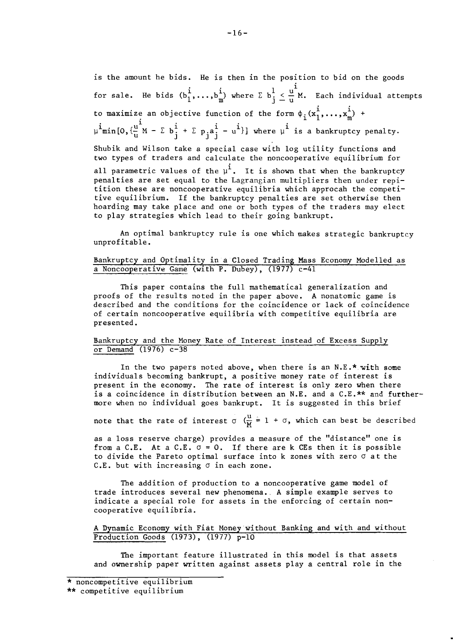is the amount he bids. He is then in the position to bid on the goods for sale. He bids  $(b_1^i, \ldots, b_{m}^i)$  where  $\Sigma$   $b_j^1 \leq \frac{u^i}{u} M$ . Each individual attempts to maximize an objective function of the form  $\phi_i(x_1^i, ..., x_m^i)$  +  $\mu^{\text{1}}$ min[0,  $\{\frac{u^{\text{i}}}{u}M - \Sigma b_{\text{j}}^{\text{i}} + \Sigma p_{\text{j}}a_{\text{j}}^{\text{i}} - u^{\text{i}}\}$ ] where  $\mu^{\text{i}}$  is a bankruptcy penalty. Shubik and Wilson take a special case with log utility functions and two types of traders and calculate the noncooperative equilibrium for all parametric values of the  $\mu$ <sup>1</sup>. It is shown that when the bankruptcy penalties are set equal to the Lagrangian multipliers then under repitition these are noncooperative equilibria which approcah the competitive equilibrium. If the bankruptcy penalties are set otherwise then hoarding may take place and one or both types of the traders may elect to play strategies which lead to their going bankrupt.

An optimal bankruptcy rule is one which makes strategic bankruptcy unprofitable.

# Bankruptcy and Optimality in a Closed Trading Mass Economy Modelled as a Noncooperative Game (with P. Dubey), (1977) c-41

This paper contains the full mathematical generalization and proofs of the results noted in the paper above. A nonatomic game is described and the conditions for the coincidence or lack of coincidence of certain noncooperative equilibria with competitive equilibria are presented.

# Bankruptcy and the Money Rate of Interest instead of Excess Supply or Demand (1976) c-38

In the two papers noted above, when there is an N.E.\* with some individuals becoming bankrupt, a positive money rate of interest is present in the economy. The rate of interest is only zero when there is a coincidence in distribution between an N.E. and a C.E.\*\* and furthermore when no individual goes bankrupt. It is suggested in this brief

note that the rate of interest  $\sigma$  ( $\frac{u}{M} = 1 + \sigma$ , which can best be described

as a loss reserve charge) provides a measure of the "distance" one is from a C.E. At a C.E.  $\sigma = 0$ . If there are k CEs then it is possible to divide the Pareto optimal surface into k zones with zero  $\sigma$  at the  $C.E.$  but with increasing  $\sigma$  in each zone.

The addition of production to a noncooperative game model of trade introduces several new phenomena.. A simple example serves to indicate a special role for assets in the enforcing of certain noncooperative equilibria.

A Dynamic Economy with Fiat Money without Banking and with and without Production Goods (1973), (1977) p-10

The important feature illustrated in this model is that assets and ownership paper written against assets play a central role in the

<sup>\*</sup> noncompetitive equilibrium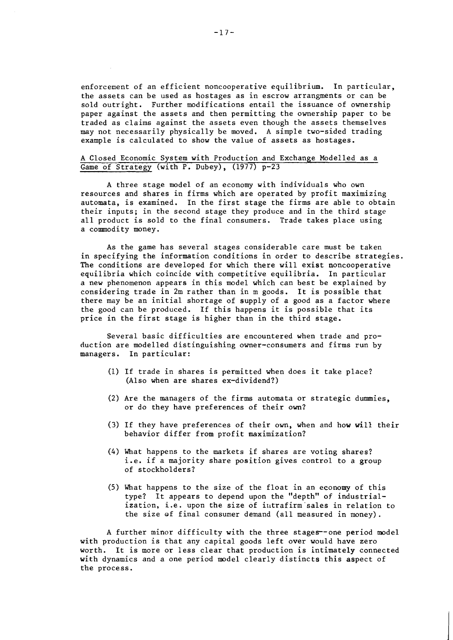enforcement of an efficient noncooperative equilibrium. In particular, the assets can be used as hostages as in escrow arrangments or can be sold outright. Further modifications entail the issuance of ownership paper against the assets and then permitting the ownership paper to be traded as claims against the assets even though the assets themselves may not necessarily physically be moved. **A** simple two-sided trading example is calculated to show the value of assets as hostages.

# A Closed Economic System with Production and Exchange Modelled as a Game of Strategy (with P. Dubey), (1977) p-23

A three stage model of an economy with individuals who own resources and shares in firms which are operated by profit maximizing automata, is examined. In the first stage the firms are able to obtain their inputs; in the second stage they produce and in the third stage all product is sold to the final consumers. Trade takes place using a commodity money.

As the game has several stages considerable care must be taken in specifying the information conditions in order to describe strategies. The conditions are developed for which there will exist noncooperative equilibria which coincide with competitive equilibria. In particular a new phenomenon appears in this model which can best be explained by considering trade in 2m rather than in m goods. It is possible that there may be an initial shortage of supply of a good as a factor where the good can be produced. If this happens it is possible that its price in the first stage is higher than in the third stage.

Several basic difficulties are encountered when trade and production are modelled distinguishing owner-consumers and firms run by managers. In particular:

- (1) If trade in shares is permitted when does it take place? (Also when are shares ex-dividend?)
- (2) Are the managers of the firms automata or strategic dummies, or do they have preferences of their own?
- **(3)** If they have preferences of their own, when and how will their behavior differ from profit maximization?
- (4) What happens to the markets if shares are voting shares? i.e. if a majority share position gives control to a group of stockholders?
- (5) What happens to the size of the float in an economy of this type? It appears to depend upon the "depth" of industrialization, i.e. upon the size of intrafirm sales in relation to the size of final consumer demand (all measured in money).

A further minor difficulty with the three stages-one period model with production is that any capital goods left over would have zero worth. It is more or less clear that production is intimately connected with dynamics and a one period model clearly distincts this aspect of the process.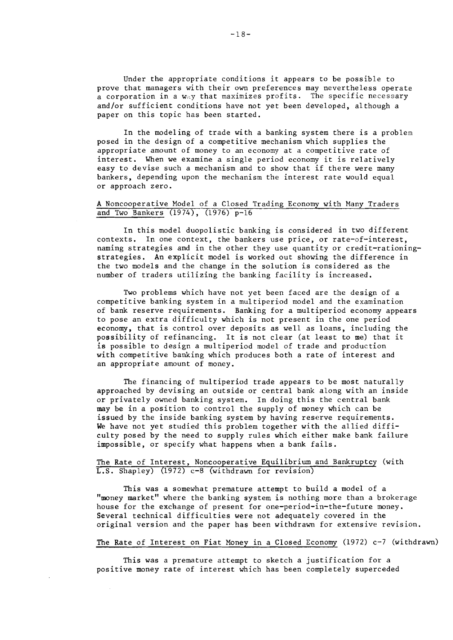Under the appropriate conditions it appears to be possible to prove that managers with their own preferences may nevertheless operate a corporation in a w<sub>ry</sub> that maximizes profits. The specific necessary and/or sufficient conditions have not yet been developed, a1 though a paper on this topic has been started.

In the modeling of trade with a banking system there is a problem posed in the design of a competitive mechanism which supplies the appropriate amount of money to an economy at a competitive rate of interest. When we examine a single period economy it is relatively easy to devise such a mechanism and to show that if there were many bankers, depending upon the mechanism the interest rate would equal or approach zero.

## A Noncooperative Model of a Closed Trading Economy with Many Traders and Two Bankers (1974), (1976) p-16

In this model duopolistic banking is considered in two different contexts. In one context, the bankers use price, or rate-of-interest, naming strategies and in the other they use quantity or credit-rationingstrategies. An explicit model is worked out showing the difference in the two models and the change in the solution is considered as the number of traders utilizing the banking facility is increased.

Two problems which have not yet been faced are the design of a competitive banking system in a multiperiod model and the examination of bank reserve requirements. Banking for a multiperiod economy appears to pose an extra difficulty which is not present in the one period economy, that is control over deposits as well as loans, including the possibility of refinancing. It is not clear (at least ko me) that it is possible to design a multiperiod model of trade and production with competitive banking which produces both a rate of interest and an appropriate amount of money.

The financing of multiperiod trade appears to be most naturally approached by devising an outside or central bank along with an inside or privately owned banking system. In doing this the central bank may be in a position to control the supply of money which can be issued by the inside banking system by having reserve requirements. We have not yet studied this problem together with the allied difficulty posed by the need to supply rules which either make bank failure impossible, or specify what happens when a bank fails.

# The Rate of Interest, Noncooperative Equilibrium and Bankruptcy (with L.S. Shapley) (1972) c-8 (withdrawn for revision)

This was a somewhat premature attempt to build a model of a "money market" where the banking system is nothing more than a brokerage house for the exchange of present for one-period-in-the-future money. Several technical difficulties were not adequately covered in the original version and the paper has been withdrawn for extensive revision.

#### The Rate of Interest on Fiat Money in a Closed Economy (1972) c-7 (withdrawn)

This was a premature attempt to sketch a justification for a positive money rate of interest which has been completely superceded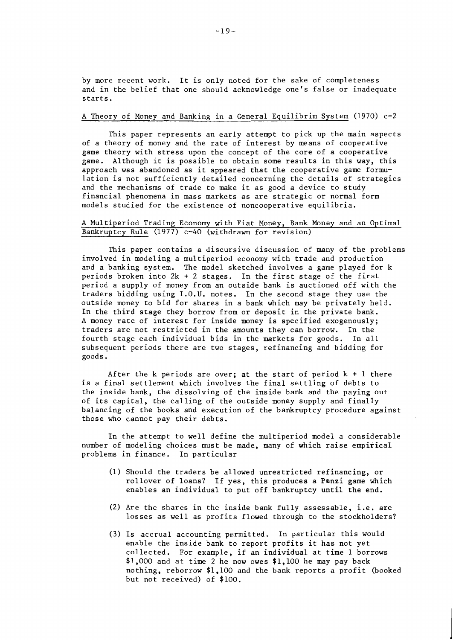by more recent work. It is only noted for the sake of completeness and in the belief that one should acknowledge one's false or inadequate starts.

### A Theory of Money and Banking in a General Equilibrim System (1970) c-2

This paper represents an early attempt to pick up the main aspects of a theory of money and the rate of interest by means of cooperative game theory with stress upon the concept of the care of a cooperative game. Although it is possible to obtain some results in this way, this approach was abandoned as it appeared that the cooperative game formulation is not sufficiently detailed concerning the details of strategies and the mechanisms of trade to make it as good a device to study financial phenomena in mass markets as are strategic or normal form models studied for the existence of noncooperative equilibria.

# A Multiperiod Trading Economy with Fiat Money, Bank Money and an Optimal Bankruptcy Rule (1977) c-40 (withdrawn for revision)

This paper contains a discursive discussion of many of the problems involved in modeling a multiperiod economy with trade and production and a banking system. The model sketched involves a game played for k periods broken into 2k + 2 stages. In the first stage of the first period a supply of money from an outside bank is auctioned off with the traders bidding using I.O.U. notes. In the second stage they use the outside money to bid for shares in a bank which may be privately held. In the third stage they borrow from or deposit in the private bank. A money rate of interest for inside money is specified exogenously; traders are not restricted in the amounts they can borrow. In the fourth stage each individual bids in the markets for goods. In all subsequent periods there are two stages, refinancing and bidding for goods.

After the k periods are over; at the start of period  $k + 1$  there is a final settlement which involves the final settling of debts to the inside bank, the dissolving of the inside bank and the paying out of its capital, the calling of the outside money supply and finally balancing of the books and execution of the bankruptcy procedure against those who cannot pay their debts.

In the attempt to well define the multiperiod model a considerable number of modeling choices must be made, many of which raise empirical problems in finance. In particular

- (1) Should the traders be a1 lowed unrestricted refinancing, or rollover of loans? If yes, this produces a Ponzi game which enables an individual to put off bankruptcy until the end.
- (2) Are the shares in the inside bank fully assessable, i.e. are losses as well as profits flowed through to the stockholders?
- **(3)** Is .accrual accounting permitted. In particular this would enable the inside bank to report profits it has not yet collected. For example, if an individual at time 1 borrows \$1,000 and at time 2 he now owes \$1,100 he may pay back nothing, reborrow \$1,100 and the bank reports a profit (booked but not received) of \$100.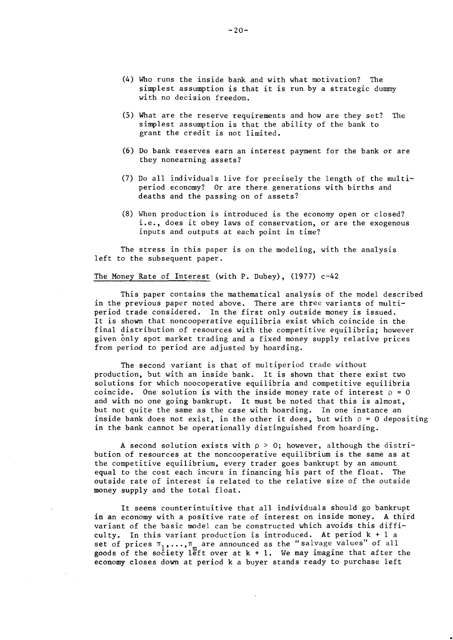- (4) Who runs the inside bank and with what motivation? The simplest assumption is that it is run by a strategic dummy with no decision freedom.
- (5) What are the reserve requirements and how are they set? The simplest assumption is that the ability of the bank to grant the credit is not limited.
- *(6)* Do bank reserves earn an interest payment for the bank or are they nonearning assets?
- (7) Do all individuals live for precisely the length of the multiperiod economy? Or are there generations with births and deaths and the passing on of assets?
- (8) When production is introduced is the economy open or closed? i.e., does it obey laws of conservation, or are the exogenous inputs and outputs at each point in time?

The stress in this paper is on the modeling, with the analysis left to the subsequent paper.

The Money Rate of Interest (with P. Dubey), (1977) c-42

This paper contains the mathematical analysis of the model described in the previous paper noted above. There are three variants of multiperiod trade considered. In the first only outside money is issued. It is shown that noncooperative equilibria exist which coincide in the final distribution of resources with the competitive equilibria; however given only spot market trading and a fixed money supply relative prices from period to period are adjusted by hoarding.

The second variant is that of multiperiod trade without production, but with an inside bank. It is shown that there exist two solutions for which noocoperative equilibria and competitive equilibria coincide. One solution is with the inside money rate of interest  $\rho = 0$ and with no one going bankrupt. It must be noted that this is almost, but not quite the same as the case with hoarding. In one instance an inside bank does not exist, in the other it does, but with  $\rho = 0$  depositing in the bank cannot be operationally distinguished from hoarding.

A second solution exists with  $p > 0$ ; however, although the distribution of resources at the noncooperative equilibrium is the same as at the competitive equilibrium, every trader goes bankrupt by an amount equal to the cost each incurs in financing his part of the float. The outside rate of interest is related to the relative size of the outside money supply and the total float.

It seems counterintuitive that all individuals should go bankrupt in an economy with a positive rate of interest on inside money. A third variant of the basic model can be constructed which avoids this difficulty. In this variant production is introduced. At period k + 1 a culty. In this variant production is introduced. At period k + 1 a<br>set of prices  $\pi_1, \ldots, \pi_m$  are announced as the "salvage values" of all goods of the society left over at  $k + 1$ . We may imagine that after the economy closes down at period k a buyer stands ready to purchase left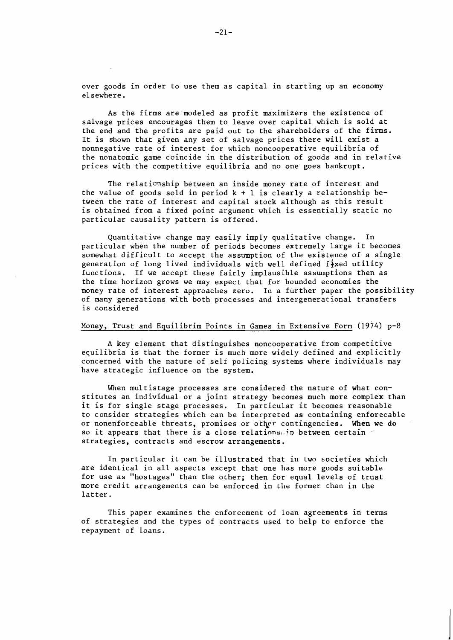over goods in order to use them as capital in starting up an economy el sewhere.

As the firms are modeled as profit maximizers the existence of salvage prices encourages them to leave over capital which is sold at the end and the profits are paid out to the shareholders of the firms. It is shown that given any set of salvage prices there will exist a nonnegative rate of interest for which noncooperative equilibria of the nonatomic game coincide in the distribution of goods and in relative prices with the competitive equilibria and no one goes bankrupt.

The relaticmship between an inside money rate of interest and the value of goods sold in period  $k + 1$  is clearly a relationship between the rate of interest and capital stock although as this result is obtained from a fixed point argument which is essentially static no particular causality pattern is offered.

Quantitative change may easily imply qualitative change. In particular when the number of periods becomes extremely large it becomes somewhat difficult to accept the assumption of the existence of a single generation of long lived individuals with well defined fixed utility functions. If we accept these fairly implausible assumptions then as the time horizon grows we may expect that for bounded economies the money rate of interest approaches zero. In a further paper the possibility of many generations with both processes and intergenerational transfers is considered

#### Money, Trust and Equilibrim Points in Games in Extensive Form (1974)  $p-8$

A key element that distinguishes noncooperative from competitive equilibria is that the former is much more widely defined and explicitly concerned with the nature of self policing systems where individuals may have strategic influence on the system.

When multistage processes are considered the nature of what constitutes an individual or a joint strategy becomes much more complex than it is for single stage processes. In particular it becomes reasonable to consider strategies which can be interpreted as containing enforecable or nonenforceable threats, promises or other contingencies. When we do so it appears that there is a close relations. ip between certain strategies, contracts and escrow arrangements.

In particular it can be illustrated that in two societies which are identical in all aspects except that one has more goods suitable for use as "hostages" than the other; then for equal levels of trust more credit arrangements can be enforced in the former than in the latter.

This paper examines the enforecment of loan agreements in terms of strategies and the types of contracts used to help to enforce the repayment of loans.